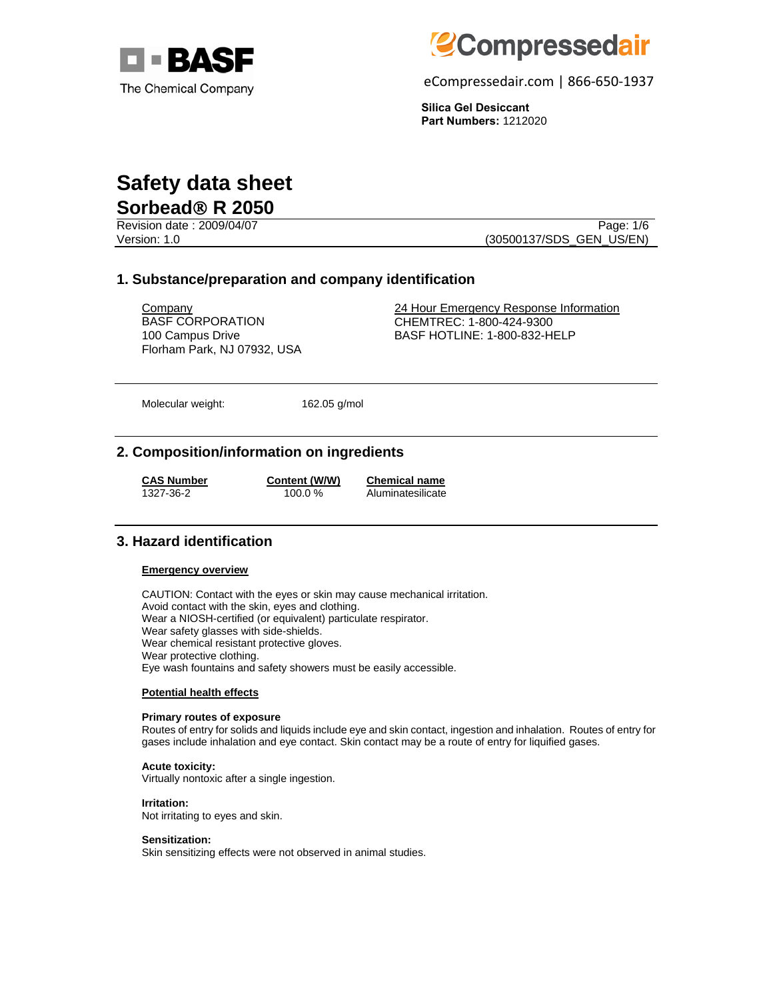



eCompressedair.com | 866-650-1937

**Silica Gel Desiccant Part Numbers:** 1212020

# **Safety data sheet Sorbead**® **R 2050**

Revision date : 2009/04/07 Page: 1/6

Version: 1.0 (30500137/SDS\_GEN\_US/EN)

## **1. Substance/preparation and company identification**

BASF CORPORATION 100 Campus Drive Florham Park, NJ 07932, USA

Company 24 Hour Emergency Response Information CHEMTREC: 1-800-424-9300 BASF HOTLINE: 1-800-832-HELP

Molecular weight: 162.05 g/mol

## **2. Composition/information on ingredients**

**CAS Number Content (W/W) Chemical name**

1327-36-2 100.0 % Aluminatesilicate

## **3. Hazard identification**

### **Emergency overview**

CAUTION: Contact with the eyes or skin may cause mechanical irritation. Avoid contact with the skin, eyes and clothing. Wear a NIOSH-certified (or equivalent) particulate respirator. Wear safety glasses with side-shields. Wear chemical resistant protective gloves. Wear protective clothing. Eye wash fountains and safety showers must be easily accessible.

#### **Potential health effects**

#### **Primary routes of exposure**

Routes of entry for solids and liquids include eye and skin contact, ingestion and inhalation. Routes of entry for gases include inhalation and eye contact. Skin contact may be a route of entry for liquified gases.

## **Acute toxicity:**

Virtually nontoxic after a single ingestion.

#### **Irritation:**

Not irritating to eyes and skin.

#### **Sensitization:**

Skin sensitizing effects were not observed in animal studies.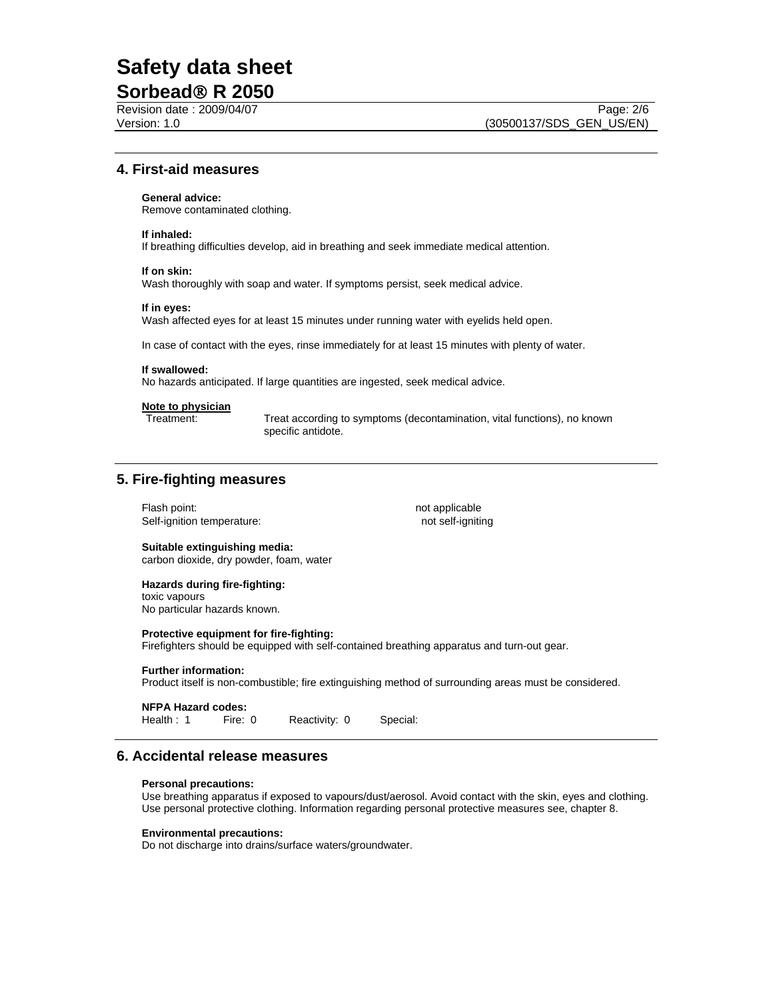# **Safety data sheet**

## **Sorbead**® **R 2050**

## **4. First-aid measures**

#### **General advice:**

Remove contaminated clothing.

#### **If inhaled:**

If breathing difficulties develop, aid in breathing and seek immediate medical attention.

#### **If on skin:**

Wash thoroughly with soap and water. If symptoms persist, seek medical advice.

#### **If in eyes:**

Wash affected eyes for at least 15 minutes under running water with eyelids held open.

In case of contact with the eyes, rinse immediately for at least 15 minutes with plenty of water.

#### **If swallowed:**

No hazards anticipated. If large quantities are ingested, seek medical advice.

#### **Note to physician**

Treatment: Treat according to symptoms (decontamination, vital functions), no known specific antidote.

## **5. Fire-fighting measures**

Flash point: not applicable Self-ignition temperature: not self-igniting

#### **Suitable extinguishing media:**  carbon dioxide, dry powder, foam, water

## **Hazards during fire-fighting:**

toxic vapours No particular hazards known.

#### **Protective equipment for fire-fighting:**

Firefighters should be equipped with self-contained breathing apparatus and turn-out gear.

#### **Further information:**

Product itself is non-combustible; fire extinguishing method of surrounding areas must be considered.

## **NFPA Hazard codes:**

Health : 1 Fire: 0 Reactivity: 0 Special:

### **6. Accidental release measures**

#### **Personal precautions:**

Use breathing apparatus if exposed to vapours/dust/aerosol. Avoid contact with the skin, eyes and clothing. Use personal protective clothing. Information regarding personal protective measures see, chapter 8.

#### **Environmental precautions:**

Do not discharge into drains/surface waters/groundwater.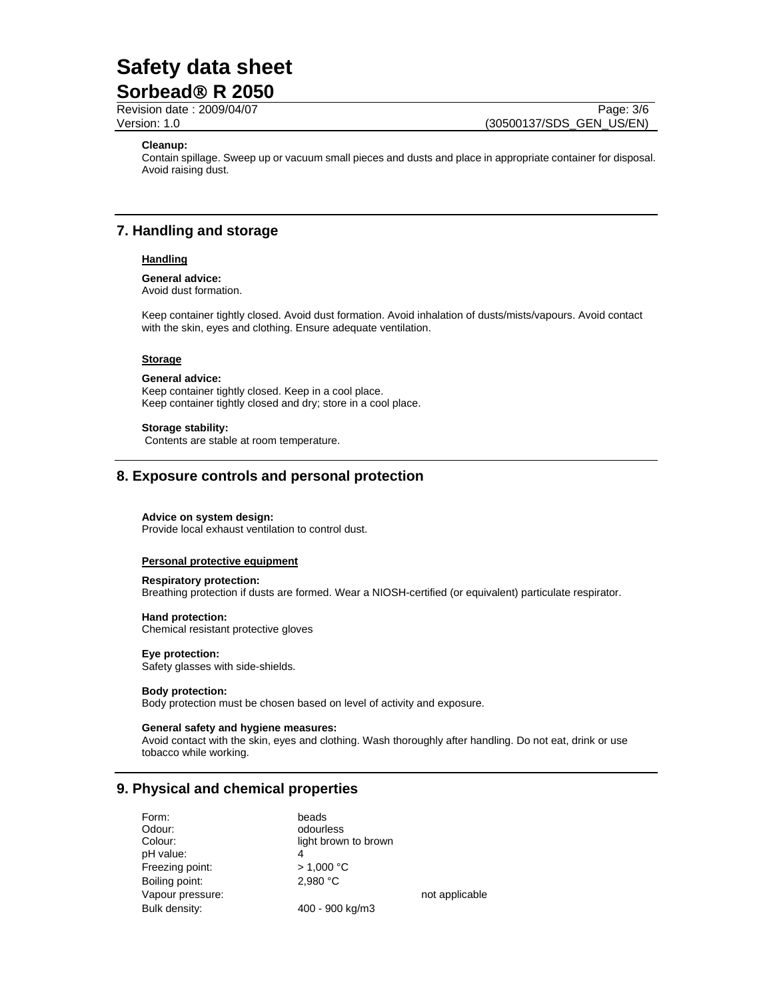# **Safety data sheet**

## **Sorbead**® **R 2050**

Revision date : 2009/04/07 Page: 3/6 Version: 1.0 (30500137/SDS\_GEN\_US/EN)

#### **Cleanup:**

Contain spillage. Sweep up or vacuum small pieces and dusts and place in appropriate container for disposal. Avoid raising dust.

## **7. Handling and storage**

#### **Handling**

## **General advice:**

Avoid dust formation.

Keep container tightly closed. Avoid dust formation. Avoid inhalation of dusts/mists/vapours. Avoid contact with the skin, eyes and clothing. Ensure adequate ventilation.

#### **Storage**

#### **General advice:**

Keep container tightly closed. Keep in a cool place. Keep container tightly closed and dry; store in a cool place.

#### **Storage stability:**

Contents are stable at room temperature.

## **8. Exposure controls and personal protection**

#### **Advice on system design:**

Provide local exhaust ventilation to control dust.

#### **Personal protective equipment**

#### **Respiratory protection:**

Breathing protection if dusts are formed. Wear a NIOSH-certified (or equivalent) particulate respirator.

## **Hand protection:**

Chemical resistant protective gloves

#### **Eye protection:**

Safety glasses with side-shields.

#### **Body protection:**

Body protection must be chosen based on level of activity and exposure.

#### **General safety and hygiene measures:**

Avoid contact with the skin, eyes and clothing. Wash thoroughly after handling. Do not eat, drink or use tobacco while working.

## **9. Physical and chemical properties**

| Form:            | beads                |                |
|------------------|----------------------|----------------|
| Odour:           | odourless            |                |
| Colour:          | light brown to brown |                |
| pH value:        | 4                    |                |
| Freezing point:  | > 1,000 °C           |                |
| Boiling point:   | 2.980 °C             |                |
| Vapour pressure: |                      | not applicable |
| Bulk density:    | 400 - 900 kg/m3      |                |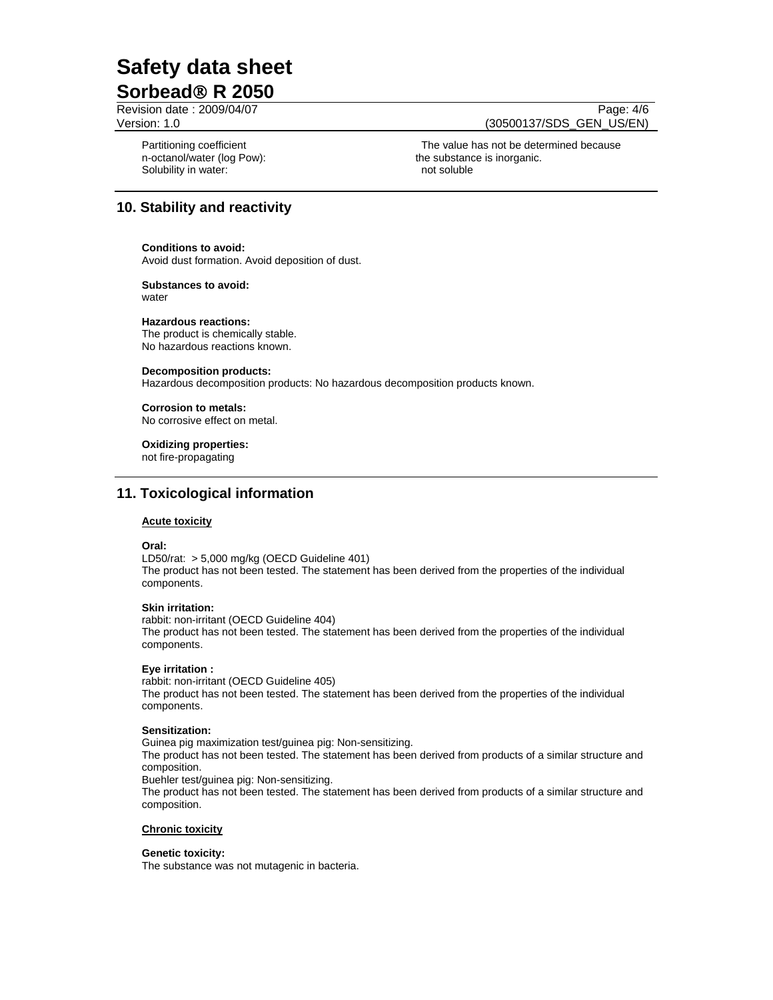# **Safety data sheet Sorbead**® **R 2050**

Revision date : 2009/04/07 Page: 4/6

Version: 1.0 (30500137/SDS\_GEN\_US/EN)

Partitioning coefficient n-octanol/water (log Pow): Solubility in water: not soluble not soluble

 The value has not be determined because the substance is inorganic.

## **10. Stability and reactivity**

#### **Conditions to avoid:**

Avoid dust formation. Avoid deposition of dust.

#### **Substances to avoid:** water

#### **Hazardous reactions:**

The product is chemically stable. No hazardous reactions known.

#### **Decomposition products:**

Hazardous decomposition products: No hazardous decomposition products known.

#### **Corrosion to metals:**

No corrosive effect on metal.

#### **Oxidizing properties:**

not fire-propagating

## **11. Toxicological information**

#### **Acute toxicity**

#### **Oral:**

LD50/rat: > 5,000 mg/kg (OECD Guideline 401) The product has not been tested. The statement has been derived from the properties of the individual components.

#### **Skin irritation:**

rabbit: non-irritant (OECD Guideline 404)

The product has not been tested. The statement has been derived from the properties of the individual components.

#### **Eye irritation :**

rabbit: non-irritant (OECD Guideline 405) The product has not been tested. The statement has been derived from the properties of the individual components.

#### **Sensitization:**

Guinea pig maximization test/guinea pig: Non-sensitizing. The product has not been tested. The statement has been derived from products of a similar structure and composition.

Buehler test/guinea pig: Non-sensitizing.

The product has not been tested. The statement has been derived from products of a similar structure and composition.

#### **Chronic toxicity**

#### **Genetic toxicity:**

The substance was not mutagenic in bacteria.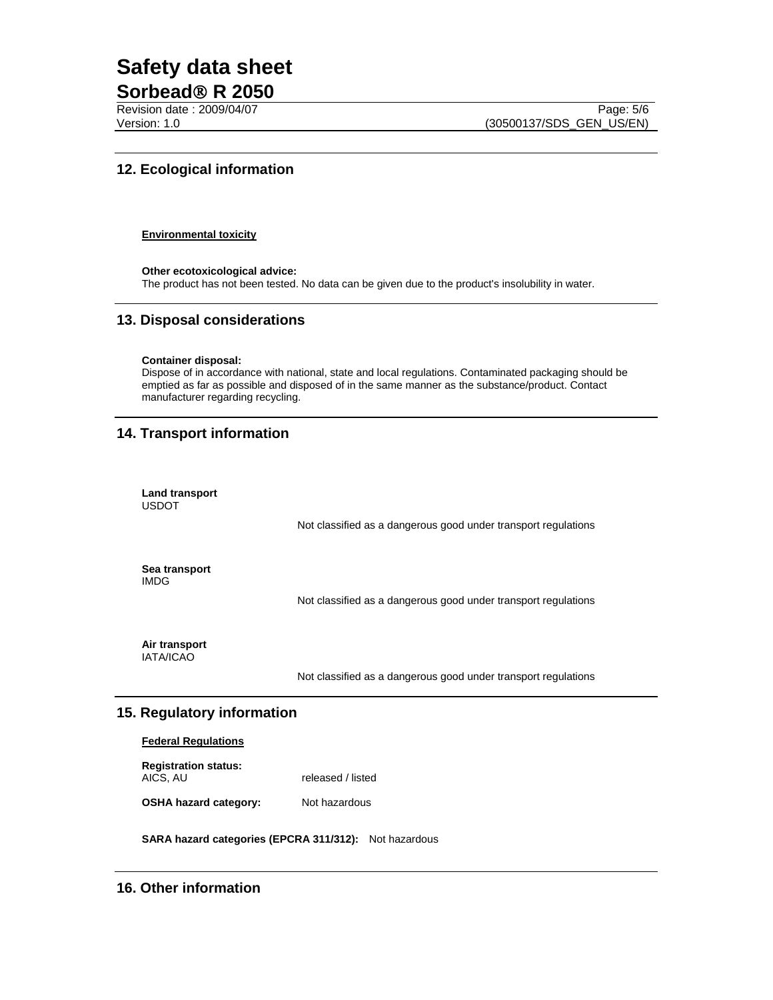# **Safety data sheet**

## **Sorbead**® **R 2050**

Revision date : 2009/04/07 Page: 5/6 Version: 1.0 (30500137/SDS\_GEN\_US/EN)

## **12. Ecological information**

#### **Environmental toxicity**

**Other ecotoxicological advice:**  The product has not been tested. No data can be given due to the product's insolubility in water.

## **13. Disposal considerations**

#### **Container disposal:**

Dispose of in accordance with national, state and local regulations. Contaminated packaging should be emptied as far as possible and disposed of in the same manner as the substance/product. Contact manufacturer regarding recycling.

## **14. Transport information**

| Land transport<br><b>USDOT</b>    |                                                                |
|-----------------------------------|----------------------------------------------------------------|
|                                   | Not classified as a dangerous good under transport regulations |
| Sea transport<br><b>IMDG</b>      |                                                                |
|                                   | Not classified as a dangerous good under transport regulations |
| Air transport<br><b>IATA/ICAO</b> |                                                                |

Not classified as a dangerous good under transport regulations

## **15. Regulatory information**

### **Federal Regulations**

| <b>Registration status:</b> |                   |
|-----------------------------|-------------------|
| AICS, AU                    | released / listed |

**OSHA hazard category:** Not hazardous

**SARA hazard categories (EPCRA 311/312):** Not hazardous

## **16. Other information**